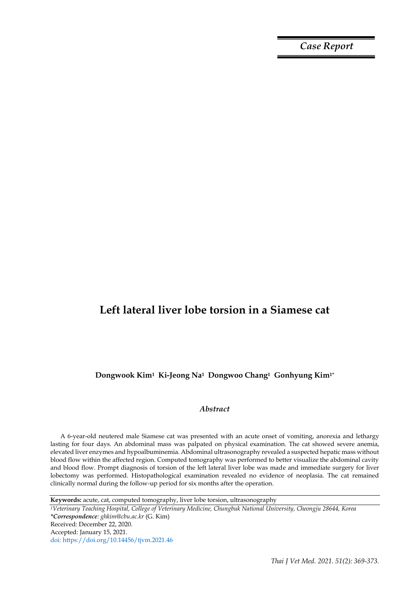*Case Report*

# **Left lateral liver lobe torsion in a Siamese cat**

**Dongwook Kim1 Ki-Jeong Na1 Dongwoo Chang1 Gonhyung Kim1\***

## *Abstract*

A 6-year-old neutered male Siamese cat was presented with an acute onset of vomiting, anorexia and lethargy lasting for four days. An abdominal mass was palpated on physical examination. The cat showed severe anemia, elevated liver enzymes and hypoalbuminemia. Abdominal ultrasonography revealed a suspected hepatic mass without blood flow within the affected region. Computed tomography was performed to better visualize the abdominal cavity and blood flow. Prompt diagnosis of torsion of the left lateral liver lobe was made and immediate surgery for liver lobectomy was performed. Histopathological examination revealed no evidence of neoplasia. The cat remained clinically normal during the follow-up period for six months after the operation.

**Keywords:** acute, cat, computed tomography, liver lobe torsion, ultrasonography

*<sup>1</sup>Veterinary Teaching Hospital, College of Veterinary Medicine, Chungbuk National University, Cheongju 28644, Korea \*Correspondence: ghkim@cbu.ac.kr* (G. Kim) Received: December 22, 2020. Accepted: January 15, 2021. doi: https://doi.org/10.14456/tjvm.2021.46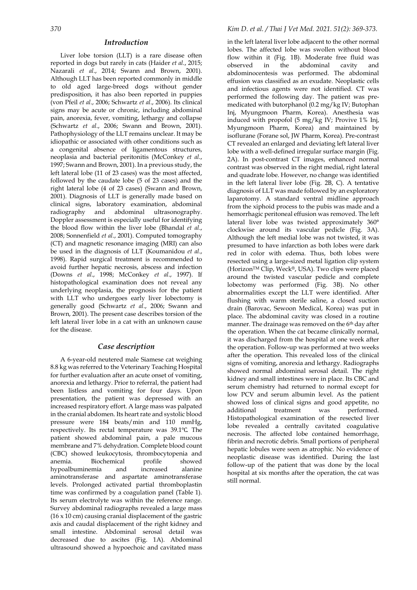### *Introduction*

Liver lobe torsion (LLT) is a rare disease often reported in dogs but rarely in cats (Haider *et al*., 2015; Nazarali *et al*., 2014; Swann and Brown, 2001). Although LLT has been reported commonly in middle to old aged large-breed dogs without gender predisposition, it has also been reported in puppies (von Pfeil *et al*., 2006; Schwartz *et al*., 2006). Its clinical signs may be acute or chronic, including abdominal pain, anorexia, fever, vomiting, lethargy and collapse (Schwartz *et al*., 2006; Swann and Brown, 2001). Pathophysiology of the LLT remains unclear. It may be idiopathic or associated with other conditions such as a congenital absence of ligamentous structures, neoplasia and bacterial peritonitis (McConkey *et al*., 1997; Swann and Brown, 2001). In a previous study, the left lateral lobe (11 of 23 cases) was the most affected, followed by the caudate lobe (5 of 23 cases) and the right lateral lobe (4 of 23 cases) (Swann and Brown, 2001). Diagnosis of LLT is generally made based on clinical signs, laboratory examination, abdominal radiography and abdominal ultrasonography. Doppler assessment is especially useful for identifying the blood flow within the liver lobe (Bhandal *et al*., 2008; Sonnenfield *et al*., 2001). Computed tomography (CT) and magnetic resonance imaging (MRI) can also be used in the diagnosis of LLT (Koumanidou *et al*., 1998). Rapid surgical treatment is recommended to avoid further hepatic necrosis, abscess and infection (Downs *et al*., 1998; McConkey *et al*., 1997). If histopathological examination does not reveal any underlying neoplasia, the prognosis for the patient with LLT who undergoes early liver lobectomy is generally good (Schwartz *et al*., 2006; Swann and Brown, 2001). The present case describes torsion of the left lateral liver lobe in a cat with an unknown cause for the disease.

### *Case description*

A 6-year-old neutered male Siamese cat weighing 8.8 kg was referred to the Veterinary Teaching Hospital for further evaluation after an acute onset of vomiting, anorexia and lethargy. Prior to referral, the patient had been listless and vomiting for four days. Upon presentation, the patient was depressed with an increased respiratory effort. A large mass was palpated in the cranial abdomen. Its heart rate and systolic blood pressure were 184 beats/min and 110 mmHg, respectively. Its rectal temperature was 39.1℃. The patient showed abdominal pain, a pale mucous membrane and 7% dehydration. Complete blood count (CBC) showed leukocytosis, thrombocytopenia and anemia. Biochemical profile showed hypoalbuminemia and increased alanine aminotransferase and aspartate aminotransferase levels. Prolonged activated partial thromboplastin time was confirmed by a coagulation panel (Table 1). Its serum electrolyte was within the reference range. Survey abdominal radiographs revealed a large mass (16 x 10 cm) causing cranial displacement of the gastric axis and caudal displacement of the right kidney and small intestine. Abdominal serosal detail was decreased due to ascites (Fig. 1A). Abdominal ultrasound showed a hypoechoic and cavitated mass in the left lateral liver lobe adjacent to the other normal lobes. The affected lobe was swollen without blood flow within it (Fig. 1B). Moderate free fluid was observed in the abdominal cavity and abdominocentesis was performed. The abdominal effusion was classified as an exudate. Neoplastic cells and infectious agents were not identified. CT was performed the following day. The patient was premedicated with butorphanol (0.2 mg/kg IV; Butophan Inj, Myungmoon Pharm, Korea). Anesthesia was induced with propofol (5 mg/kg IV; Provive 1% Inj, Myungmoon Pharm, Korea) and maintained by isoflurane (Forane sol, JW Pharm, Korea). Pre-contrast CT revealed an enlarged and deviating left lateral liver lobe with a well-defined irregular surface margin (Fig. 2A). In post-contrast CT images, enhanced normal contrast was observed in the right medial, right lateral and quadrate lobe. However, no change was identified in the left lateral liver lobe (Fig. 2B, C). A tentative diagnosis of LLT was made followed by an exploratory laparotomy. A standard ventral midline approach from the xiphoid process to the pubis was made and a hemorrhagic peritoneal effusion was removed. The left lateral liver lobe was twisted approximately 360° clockwise around its vascular pedicle (Fig. 3A). Although the left medial lobe was not twisted, it was presumed to have infarction as both lobes were dark red in color with edema. Thus, both lobes were resected using a large-sized metal ligation clip system (HorizonTM Clip, Weck®, USA). Two clips were placed around the twisted vascular pedicle and complete lobectomy was performed (Fig. 3B). No other abnormalities except the LLT were identified. After flushing with warm sterile saline, a closed suction drain (Barovac, Sewoon Medical, Korea) was put in place. The abdominal cavity was closed in a routine manner. The drainage was removed on the 6th day after the operation. When the cat became clinically normal, it was discharged from the hospital at one week after the operation. Follow-up was performed at two weeks after the operation. This revealed loss of the clinical signs of vomiting, anorexia and lethargy. Radiographs showed normal abdominal serosal detail. The right kidney and small intestines were in place. Its CBC and serum chemistry had returned to normal except for low PCV and serum albumin level. As the patient showed loss of clinical signs and good appetite, no additional treatment was performed. Histopathological examination of the resected liver lobe revealed a centrally cavitated coagulative necrosis. The affected lobe contained hemorrhage, fibrin and necrotic debris. Small portions of peripheral hepatic lobules were seen as atrophic. No evidence of neoplastic disease was identified. During the last follow-up of the patient that was done by the local hospital at six months after the operation, the cat was still normal.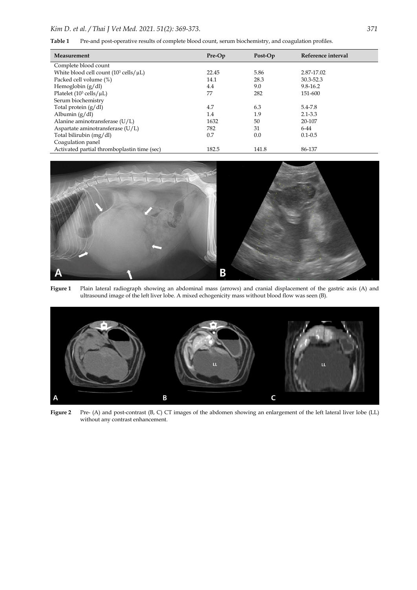| Table 1 |  |  |  |  |  | Pre-and post-operative results of complete blood count, serum biochemistry, and coagulation profiles. |  |
|---------|--|--|--|--|--|-------------------------------------------------------------------------------------------------------|--|
|---------|--|--|--|--|--|-------------------------------------------------------------------------------------------------------|--|

| Measurement                                               | Pre-Op | Post-Op | Reference interval |
|-----------------------------------------------------------|--------|---------|--------------------|
| Complete blood count                                      |        |         |                    |
| White blood cell count $(10^3 \text{ cells}/\mu\text{L})$ | 22.45  | 5.86    | 2.87-17.02         |
| Packed cell volume (%)                                    | 14.1   | 28.3    | 30.3-52.3          |
| Hemoglobin $(g/dl)$                                       | 4.4    | 9.0     | 9.8-16.2           |
| Platelet $(10^3 \text{ cells}/\mu\text{L})$               | 77     | 282     | 151-600            |
| Serum biochemistry                                        |        |         |                    |
| Total protein (g/dl)                                      | 4.7    | 6.3     | 5.4-7.8            |
| Albumin $(g/dl)$                                          | 1.4    | 1.9     | $2.1 - 3.3$        |
| Alanine aminotransferase (U/L)                            | 1632   | 50      | 20-107             |
| Aspartate aminotransferase (U/L)                          | 782    | 31      | $6-44$             |
| Total bilirubin (mg/dl)                                   | 0.7    | 0.0     | $0.1 - 0.5$        |
| Coagulation panel                                         |        |         |                    |
| Activated partial thromboplastin time (sec)               | 182.5  | 141.8   | 86-137             |



**Figure 1** Plain lateral radiograph showing an abdominal mass (arrows) and cranial displacement of the gastric axis (A) and ultrasound image of the left liver lobe. A mixed echogenicity mass without blood flow was seen (B).



**Figure 2** Pre- (A) and post-contrast (B, C) CT images of the abdomen showing an enlargement of the left lateral liver lobe (LL) without any contrast enhancement.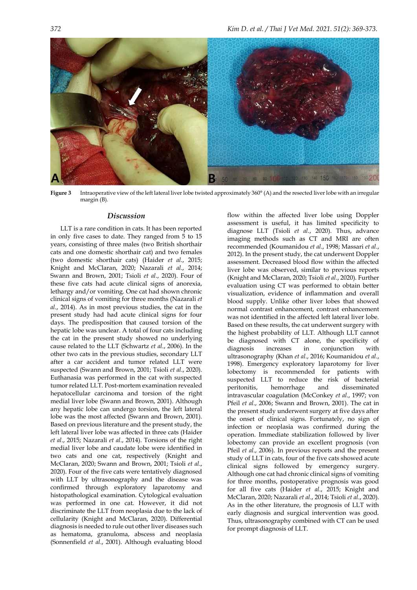

**Figure 3** Intraoperative view of the left lateral liver lobe twisted approximately 360° (A) and the resected liver lobe with an irregular margin (B).

#### *Discussion*

LLT is a rare condition in cats. It has been reported in only five cases to date. They ranged from 5 to 15 years, consisting of three males (two British shorthair cats and one domestic shorthair cat) and two females (two domestic shorthair cats) (Haider *et al*., 2015; Knight and McClaran, 2020; Nazarali *et al*., 2014; Swann and Brown, 2001; Tsioli *et al*., 2020). Four of these five cats had acute clinical signs of anorexia, lethargy and/or vomiting. One cat had shown chronic clinical signs of vomiting for three months (Nazarali *et al*., 2014). As in most previous studies, the cat in the present study had had acute clinical signs for four days. The predisposition that caused torsion of the hepatic lobe was unclear. A total of four cats including the cat in the present study showed no underlying cause related to the LLT (Schwartz *et al*., 2006). In the other two cats in the previous studies, secondary LLT after a car accident and tumor related LLT were suspected (Swann and Brown, 2001; Tsioli *et al*., 2020). Euthanasia was performed in the cat with suspected tumor related LLT. Post-mortem examination revealed hepatocellular carcinoma and torsion of the right medial liver lobe (Swann and Brown, 2001). Although any hepatic lobe can undergo torsion, the left lateral lobe was the most affected (Swann and Brown, 2001). Based on previous literature and the present study, the left lateral liver lobe was affected in three cats (Haider *et al*., 2015; Nazarali *et al*., 2014). Torsions of the right medial liver lobe and caudate lobe were identified in two cats and one cat, respectively (Knight and McClaran, 2020; Swann and Brown, 2001; Tsioli *et al*., 2020). Four of the five cats were tentatively diagnosed with LLT by ultrasonography and the disease was confirmed through exploratory laparotomy and histopathological examination. Cytological evaluation was performed in one cat. However, it did not discriminate the LLT from neoplasia due to the lack of cellularity (Knight and McClaran, 2020). Differential diagnosis is needed to rule out other liver diseases such as hematoma, granuloma, abscess and neoplasia (Sonnenfield *et al*., 2001). Although evaluating blood

flow within the affected liver lobe using Doppler assessment is useful, it has limited specificity to diagnose LLT (Tsioli *et al*., 2020). Thus, advance imaging methods such as CT and MRI are often recommended (Koumanidou *et al*., 1998; Massari *et al*., 2012). In the present study, the cat underwent Doppler assessment. Decreased blood flow within the affected liver lobe was observed, similar to previous reports (Knight and McClaran, 2020; Tsioli *et al*., 2020). Further evaluation using CT was performed to obtain better visualization, evidence of inflammation and overall blood supply. Unlike other liver lobes that showed normal contrast enhancement, contrast enhancement was not identified in the affected left lateral liver lobe. Based on these results, the cat underwent surgery with the highest probability of LLT. Although LLT cannot be diagnosed with CT alone, the specificity of diagnosis increases in conjunction with ultrasonography (Khan *et al*., 2016; Koumanidou *et al*., 1998). Emergency exploratory laparotomy for liver lobectomy is recommended for patients with suspected LLT to reduce the risk of bacterial peritonitis, hemorrhage and disseminated intravascular coagulation (McConkey *et al*., 1997; von Pfeil *et al*., 2006; Swann and Brown, 2001). The cat in the present study underwent surgery at five days after the onset of clinical signs. Fortunately, no sign of infection or neoplasia was confirmed during the operation. Immediate stabilization followed by liver lobectomy can provide an excellent prognosis (von Pfeil *et al*., 2006). In previous reports and the present study of LLT in cats, four of the five cats showed acute clinical signs followed by emergency surgery. Although one cat had chronic clinical signs of vomiting for three months, postoperative prognosis was good for all five cats (Haider *et al*., 2015; Knight and McClaran, 2020; Nazarali *et al*., 2014; Tsioli *et al*., 2020). As in the other literature, the prognosis of LLT with early diagnosis and surgical intervention was good. Thus, ultrasonography combined with CT can be used for prompt diagnosis of LLT.